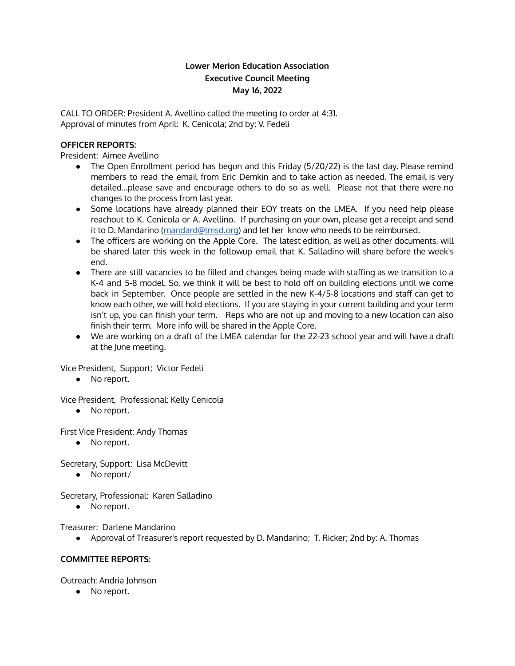# **Lower Merion Education Association Executive Council Meeting May 16, 2022**

CALL TO ORDER: President A. Avellino called the meeting to order at 4:31. Approval of minutes from April: K. Cenicola; 2nd by: V. Fedeli

## **OFFICER REPORTS:**

President: Aimee Avellino

- The Open Enrollment period has begun and this Friday (5/20/22) is the last day. Please remind members to read the email from Eric Demkin and to take action as needed. The email is very detailed…please save and encourage others to do so as well. Please not that there were no changes to the process from last year.
- Some locations have already planned their EOY treats on the LMEA. If you need help please reachout to K. Cenicola or A. Avellino. If purchasing on your own, please get a receipt and send it to D. Mandarino ([mandard@lmsd.org\)](mailto:mandard@lmsd.org) and let her know who needs to be reimbursed.
- The officers are working on the Apple Core. The latest edition, as well as other documents, will be shared later this week in the followup email that K. Salladino will share before the week's end.
- There are still vacancies to be filled and changes being made with staffing as we transition to a K-4 and 5-8 model. So, we think it will be best to hold off on building elections until we come back in September. Once people are settled in the new K-4/5-8 locations and staff can get to know each other, we will hold elections. If you are staying in your current building and your term isn't up, you can finish your term. Reps who are not up and moving to a new location can also finish their term. More info will be shared in the Apple Core.
- We are working on a draft of the LMEA calendar for the 22-23 school year and will have a draft at the June meeting.

Vice President, Support: Victor Fedeli

● No report.

Vice President, Professional: Kelly Cenicola

● No report.

First Vice President: Andy Thomas

● No report.

Secretary, Support: Lisa McDevitt

● No report/

Secretary, Professional: Karen Salladino

● No report.

Treasurer: Darlene Mandarino

● Approval of Treasurer's report requested by D. Mandarino; T. Ricker; 2nd by: A. Thomas

## **COMMITTEE REPORTS:**

Outreach: Andria Johnson

● No report.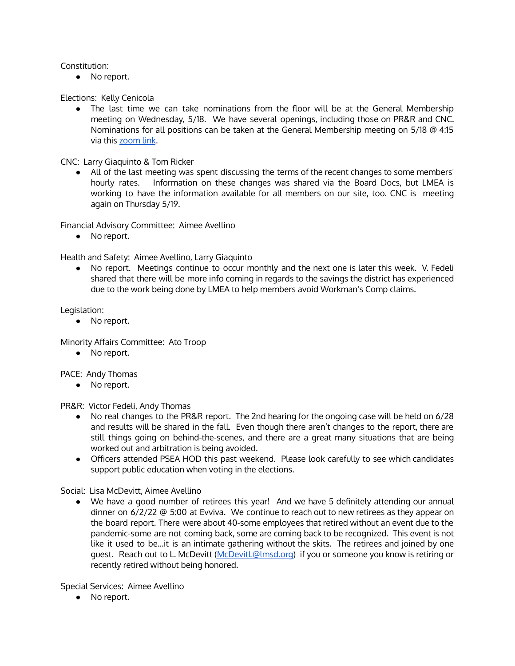### Constitution:

• No report.

Elections: Kelly Cenicola

• The last time we can take nominations from the floor will be at the General Membership meeting on Wednesday, 5/18. We have several openings, including those on PR&R and CNC. Nominations for all positions can be taken at the General Membership meeting on 5/18 @ 4:15 via this [zoom](https://zoom.us/j/406557031?pwd=M0JReEpBYXArb1V3NzhzT2tOY1RtUT09) link.

CNC: Larry Giaquinto & Tom Ricker

● All of the last meeting was spent discussing the terms of the recent changes to some members' hourly rates. Information on these changes was shared via the Board Docs, but LMEA is working to have the information available for all members on our site, too. CNC is meeting again on Thursday 5/19.

Financial Advisory Committee: Aimee Avellino

● No report.

Health and Safety: Aimee Avellino, Larry Giaquinto

● No report. Meetings continue to occur monthly and the next one is later this week. V. Fedeli shared that there will be more info coming in regards to the savings the district has experienced due to the work being done by LMEA to help members avoid Workman's Comp claims.

Legislation:

● No report.

Minority Affairs Committee: Ato Troop

● No report.

PACE: Andy Thomas

● No report.

PR&R: Victor Fedeli, Andy Thomas

- No real changes to the PR&R report. The 2nd hearing for the ongoing case will be held on 6/28 and results will be shared in the fall. Even though there aren't changes to the report, there are still things going on behind-the-scenes, and there are a great many situations that are being worked out and arbitration is being avoided.
- Officers attended PSEA HOD this past weekend. Please look carefully to see which candidates support public education when voting in the elections.

Social: Lisa McDevitt, Aimee Avellino

● We have a good number of retirees this year! And we have 5 definitely attending our annual dinner on 6/2/22 @ 5:00 at Evviva. We continue to reach out to new retirees as they appear on the board report. There were about 40-some employees that retired without an event due to the pandemic-some are not coming back, some are coming back to be recognized. This event is not like it used to be…it is an intimate gathering without the skits. The retirees and joined by one guest. Reach out to L. McDevitt [\(McDevitL@lmsd.org\)](mailto:McDevitL@lmsd.org) if you or someone you know is retiring or recently retired without being honored.

Special Services: Aimee Avellino

● No report.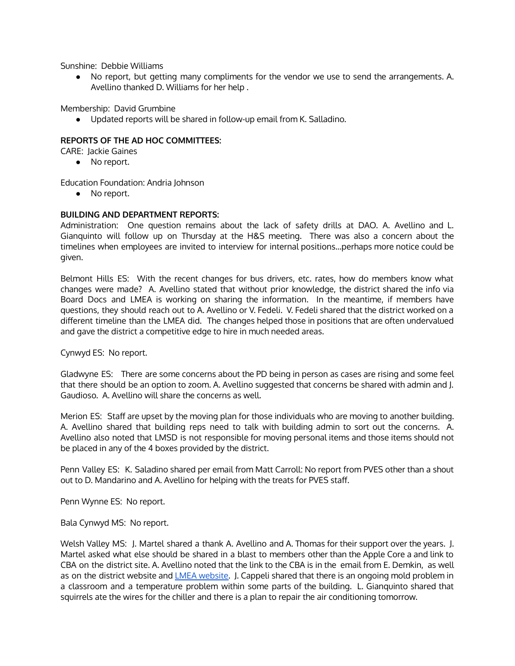Sunshine: Debbie Williams

● No report, but getting many compliments for the vendor we use to send the arrangements. A. Avellino thanked D. Williams for her help .

Membership: David Grumbine

● Updated reports will be shared in follow-up email from K. Salladino.

### **REPORTS OF THE AD HOC COMMITTEES:**

CARE: Jackie Gaines

● No report.

Education Foundation: Andria Johnson

● No report.

#### **BUILDING AND DEPARTMENT REPORTS:**

Administration: One question remains about the lack of safety drills at DAO. A. Avellino and L. Gianquinto will follow up on Thursday at the H&S meeting. There was also a concern about the timelines when employees are invited to interview for internal positions…perhaps more notice could be given.

Belmont Hills ES: With the recent changes for bus drivers, etc. rates, how do members know what changes were made? A. Avellino stated that without prior knowledge, the district shared the info via Board Docs and LMEA is working on sharing the information. In the meantime, if members have questions, they should reach out to A. Avellino or V. Fedeli. V. Fedeli shared that the district worked on a different timeline than the LMEA did. The changes helped those in positions that are often undervalued and gave the district a competitive edge to hire in much needed areas.

Cynwyd ES: No report.

Gladwyne ES: There are some concerns about the PD being in person as cases are rising and some feel that there should be an option to zoom. A. Avellino suggested that concerns be shared with admin and J. Gaudioso. A. Avellino will share the concerns as well.

Merion ES: Staff are upset by the moving plan for those individuals who are moving to another building. A. Avellino shared that building reps need to talk with building admin to sort out the concerns. A. Avellino also noted that LMSD is not responsible for moving personal items and those items should not be placed in any of the 4 boxes provided by the district.

Penn Valley ES: K. Saladino shared per email from Matt Carroll: No report from PVES other than a shout out to D. Mandarino and A. Avellino for helping with the treats for PVES staff.

Penn Wynne ES: No report.

Bala Cynwyd MS: No report.

Welsh Valley MS: J. Martel shared a thank A. Avellino and A. Thomas for their support over the years. J. Martel asked what else should be shared in a blast to members other than the Apple Core a and link to CBA on the district site. A. Avellino noted that the link to the CBA is in the email from E. Demkin, as well as on the district website and LMEA [website.](https://www.lmeaonline.org/contractinfo.php) J. Cappeli shared that there is an ongoing mold problem in a classroom and a temperature problem within some parts of the building. L. Gianquinto shared that squirrels ate the wires for the chiller and there is a plan to repair the air conditioning tomorrow.